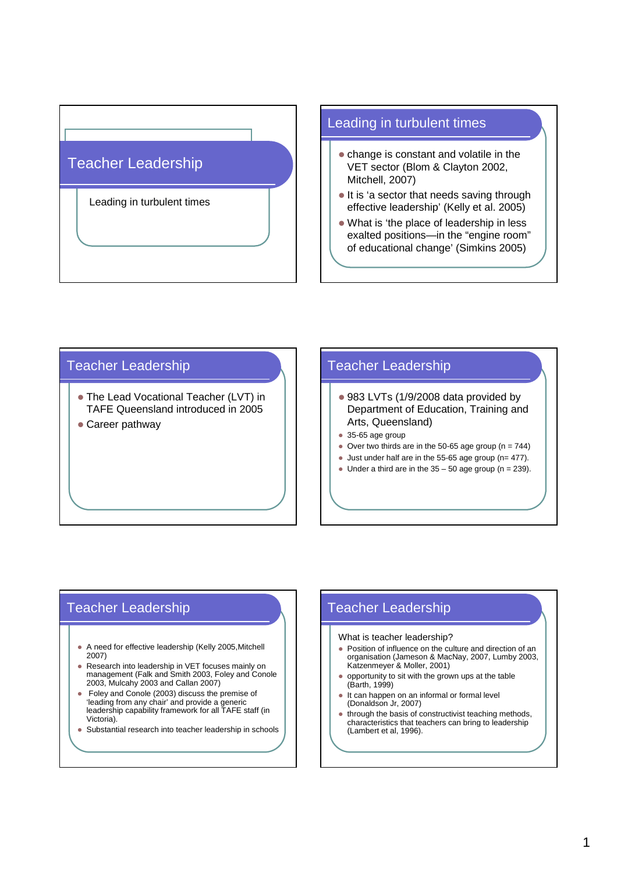

#### Leading in turbulent times

- change is constant and volatile in the VET sector (Blom & Clayton 2002, Mitchell, 2007)
- It is 'a sector that needs saving through effective leadership' (Kelly et al. 2005)
- What is 'the place of leadership in less exalted positions—in the "engine room" of educational change' (Simkins 2005)

#### Teacher Leadership

- The Lead Vocational Teacher (LVT) in TAFE Queensland introduced in 2005
- Career pathway

#### Teacher Leadership

- 983 LVTs (1/9/2008 data provided by Department of Education, Training and Arts, Queensland)
- 35-65 age group
- Over two thirds are in the 50-65 age group ( $n = 744$ )
- $\bullet$  Just under half are in the 55-65 age group (n= 477).
- $\bullet$  Under a third are in the 35 50 age group (n = 239).

### Teacher Leadership

- A need for effective leadership (Kelly 2005,Mitchell 2007)
- Research into leadership in VET focuses mainly on management (Falk and Smith 2003, Foley and Conole 2003, Mulcahy 2003 and Callan 2007)
- Foley and Conole (2003) discuss the premise of 'leading from any chair' and provide a generic leadership capability framework for all TAFE staff (in Victoria).
- Substantial research into teacher leadership in schools

#### Teacher Leadership

What is teacher leadership?

- Position of influence on the culture and direction of an organisation (Jameson & MacNay, 2007, Lumby 2003, Katzenmeyer & Moller, 2001)
- opportunity to sit with the grown ups at the table (Barth, 1999)
- It can happen on an informal or formal level (Donaldson Jr, 2007)
- through the basis of constructivist teaching methods, characteristics that teachers can bring to leadership (Lambert et al, 1996).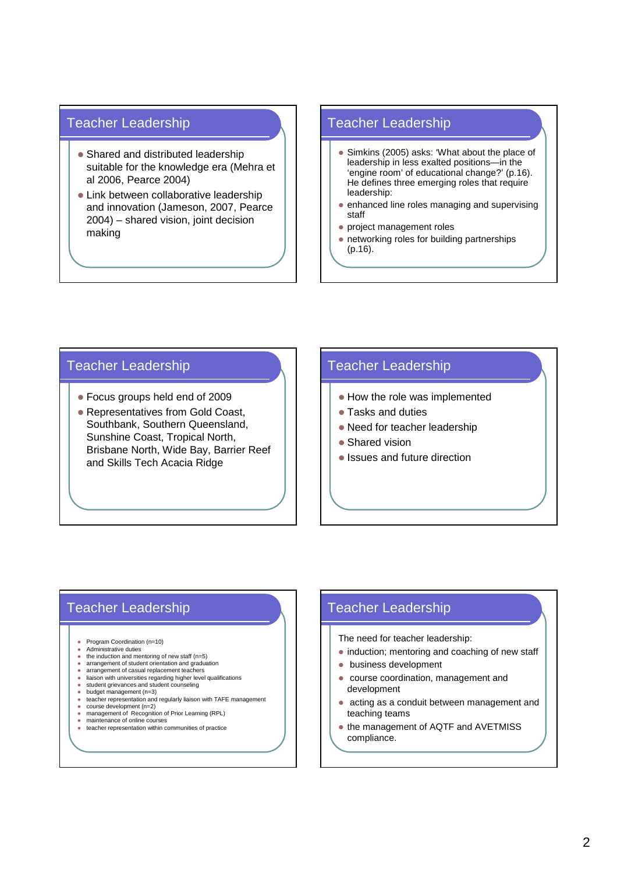### Teacher Leadership

- Shared and distributed leadership suitable for the knowledge era (Mehra et al 2006, Pearce 2004)
- Link between collaborative leadership and innovation (Jameson, 2007, Pearce 2004) – shared vision, joint decision making

#### Teacher Leadership

- Simkins (2005) asks: 'What about the place of leadership in less exalted positions—in the 'engine room' of educational change?' (p.16). He defines three emerging roles that require leadership:
- enhanced line roles managing and supervising staff
- project management roles
- networking roles for building partnerships (p.16).

#### Teacher Leadership

- Focus groups held end of 2009
- Representatives from Gold Coast, Southbank, Southern Queensland, Sunshine Coast, Tropical North, Brisbane North, Wide Bay, Barrier Reef and Skills Tech Acacia Ridge

### Teacher Leadership

- How the role was implemented
- Tasks and duties
- Need for teacher leadership
- Shared vision
- Issues and future direction

## Teacher Leadership

- Program Coordination (n=10)
- Administrative duties
- the induction and mentoring of new staff (n=5) arrangement of student orientation and graduation
- arrangement of casual replacement teachers
- liaison with universities regarding higher level qualifications
- student grievances and student counseling
- budget management (n=3) teacher representation and regularly liaison with TAFE management
- course development (n=2)
- management of Recognition of Prior Learning (RPL)
- maintenance of online courses teacher representation within communities of practice

### Teacher Leadership

The need for teacher leadership:

- induction; mentoring and coaching of new staff
- **business development**
- course coordination, management and development
- acting as a conduit between management and teaching teams
- the management of AQTF and AVETMISS compliance.